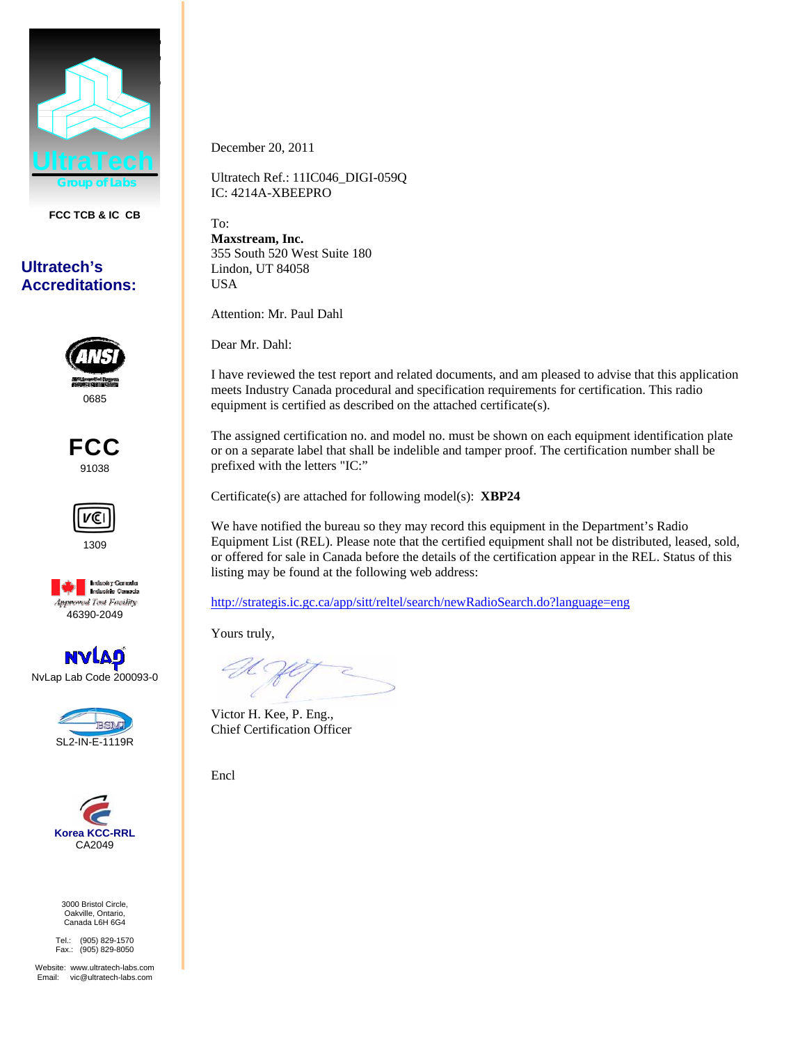

**FCC TCB & IC CB** 

## **Ultratech's Accreditations:**



FCC 91038







NvLap Lab Code 200093-0





3000 Bristol Circle, Oakville, Ontario, Canada L6H 6G4

Tel.: (905) 829-1570 Fax.: (905) 829-8050

Website: www.ultratech-labs.com Email: vic@ultratech-labs.com

December 20, 2011

Ultratech Ref.: 11IC046\_DIGI-059Q IC: 4214A-XBEEPRO

To: **Maxstream, Inc.**  355 South 520 West Suite 180 Lindon, UT 84058 USA

Attention: Mr. Paul Dahl

Dear Mr. Dahl:

I have reviewed the test report and related documents, and am pleased to advise that this application meets Industry Canada procedural and specification requirements for certification. This radio equipment is certified as described on the attached certificate(s).

The assigned certification no. and model no. must be shown on each equipment identification plate or on a separate label that shall be indelible and tamper proof. The certification number shall be prefixed with the letters "IC:"

Certificate(s) are attached for following model(s): **XBP24**

We have notified the bureau so they may record this equipment in the Department's Radio Equipment List (REL). Please note that the certified equipment shall not be distributed, leased, sold, or offered for sale in Canada before the details of the certification appear in the REL. Status of this listing may be found at the following web address:

http://strategis.ic.gc.ca/app/sitt/reltel/search/newRadioSearch.do?language=eng

Yours truly,

Victor H. Kee, P. Eng., Chief Certification Officer

Encl